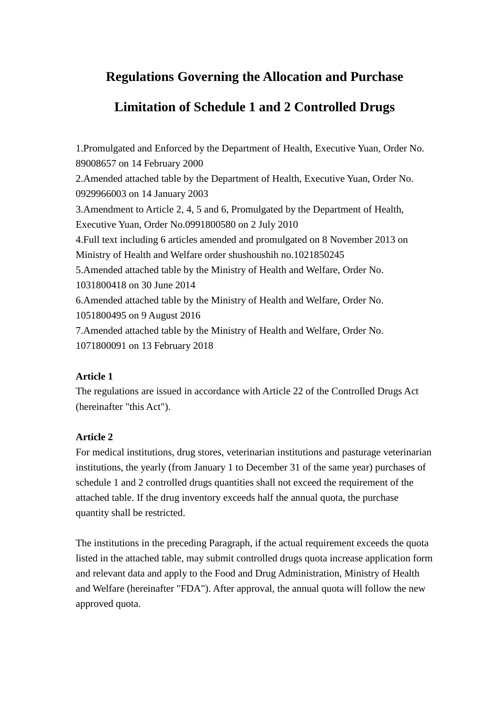# **Regulations Governing the Allocation and Purchase**

## **Limitation of Schedule 1 and 2 Controlled Drugs**

1.Promulgated and Enforced by the Department of Health, Executive Yuan, Order No. 89008657 on 14 February 2000 2.Amended attached table by the Department of Health, Executive Yuan, Order No. 0929966003 on 14 January 2003 3.Amendment to Article 2, 4, 5 and 6, Promulgated by the Department of Health, Executive Yuan, Order No.0991800580 on 2 July 2010 4.Full text including 6 articles amended and promulgated on 8 November 2013 on Ministry of Health and Welfare order shushoushih no.1021850245 5.Amended attached table by the Ministry of Health and Welfare, Order No. 1031800418 on 30 June 2014 6.Amended attached table by the Ministry of Health and Welfare, Order No. 1051800495 on 9 August 2016 7.Amended attached table by the Ministry of Health and Welfare, Order No. 1071800091 on 13 February 2018

## **Article 1**

The regulations are issued in accordance with Article 22 of the Controlled Drugs Act (hereinafter "this Act").

## **Article 2**

For medical institutions, drug stores, veterinarian institutions and pasturage veterinarian institutions, the yearly (from January 1 to December 31 of the same year) purchases of schedule 1 and 2 controlled drugs quantities shall not exceed the requirement of the attached table. If the drug inventory exceeds half the annual quota, the purchase quantity shall be restricted.

The institutions in the preceding Paragraph, if the actual requirement exceeds the quota listed in the attached table, may submit controlled drugs quota increase application form and relevant data and apply to the Food and Drug Administration, Ministry of Health and Welfare (hereinafter "FDA"). After approval, the annual quota will follow the new approved quota.